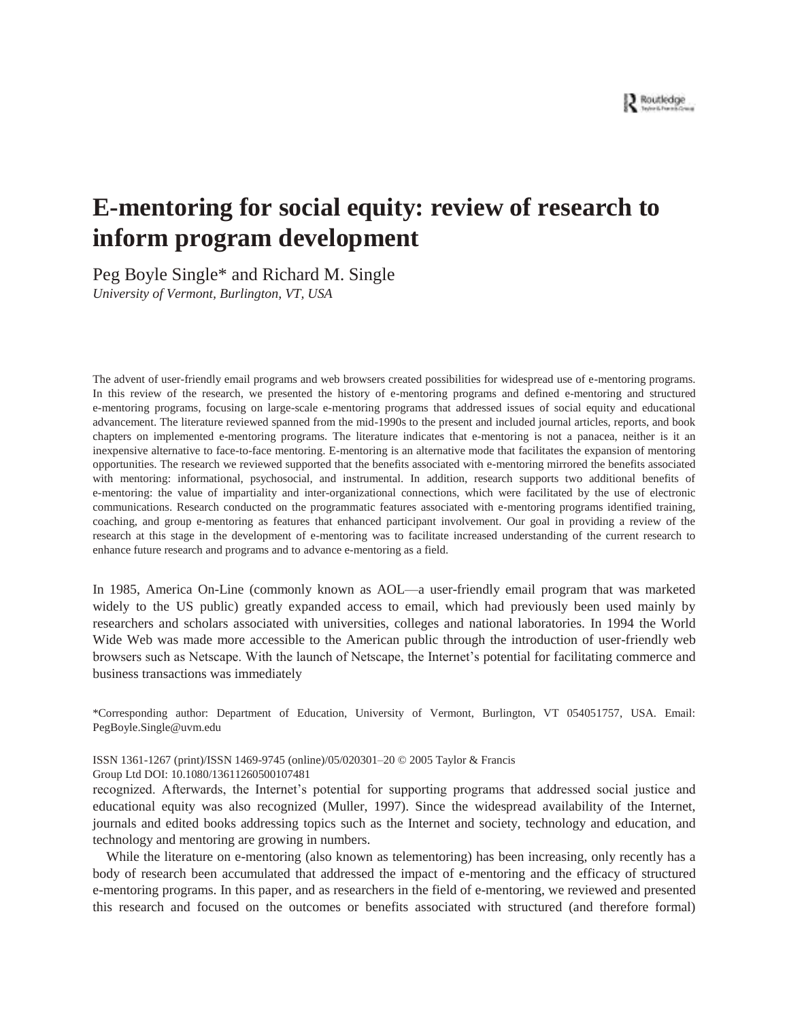# **E-mentoring for social equity: review of research to inform program development**

Peg Boyle Single\* and Richard M. Single *University of Vermont, Burlington, VT, USA* 

The advent of user-friendly email programs and web browsers created possibilities for widespread use of e-mentoring programs. In this review of the research, we presented the history of e-mentoring programs and defined e-mentoring and structured e-mentoring programs, focusing on large-scale e-mentoring programs that addressed issues of social equity and educational advancement. The literature reviewed spanned from the mid-1990s to the present and included journal articles, reports, and book chapters on implemented e-mentoring programs. The literature indicates that e-mentoring is not a panacea, neither is it an inexpensive alternative to face-to-face mentoring. E-mentoring is an alternative mode that facilitates the expansion of mentoring opportunities. The research we reviewed supported that the benefits associated with e-mentoring mirrored the benefits associated with mentoring: informational, psychosocial, and instrumental. In addition, research supports two additional benefits of e-mentoring: the value of impartiality and inter-organizational connections, which were facilitated by the use of electronic communications. Research conducted on the programmatic features associated with e-mentoring programs identified training, coaching, and group e-mentoring as features that enhanced participant involvement. Our goal in providing a review of the research at this stage in the development of e-mentoring was to facilitate increased understanding of the current research to enhance future research and programs and to advance e-mentoring as a field.

In 1985, America On-Line (commonly known as AOL—a user-friendly email program that was marketed widely to the US public) greatly expanded access to email, which had previously been used mainly by researchers and scholars associated with universities, colleges and national laboratories. In 1994 the World Wide Web was made more accessible to the American public through the introduction of user-friendly web browsers such as Netscape. With the launch of Netscape, the Internet's potential for facilitating commerce and business transactions was immediately

\*Corresponding author: Department of Education, University of Vermont, Burlington, VT 054051757, USA. Email: PegBoyle.Single@uvm.edu

ISSN 1361-1267 (print)/ISSN 1469-9745 (online)/05/020301–20 © 2005 Taylor & Francis Group Ltd DOI: 10.1080/13611260500107481

recognized. Afterwards, the Internet's potential for supporting programs that addressed social justice and educational equity was also recognized (Muller, 1997). Since the widespread availability of the Internet, journals and edited books addressing topics such as the Internet and society, technology and education, and technology and mentoring are growing in numbers.

While the literature on e-mentoring (also known as telementoring) has been increasing, only recently has a body of research been accumulated that addressed the impact of e-mentoring and the efficacy of structured e-mentoring programs. In this paper, and as researchers in the field of e-mentoring, we reviewed and presented this research and focused on the outcomes or benefits associated with structured (and therefore formal)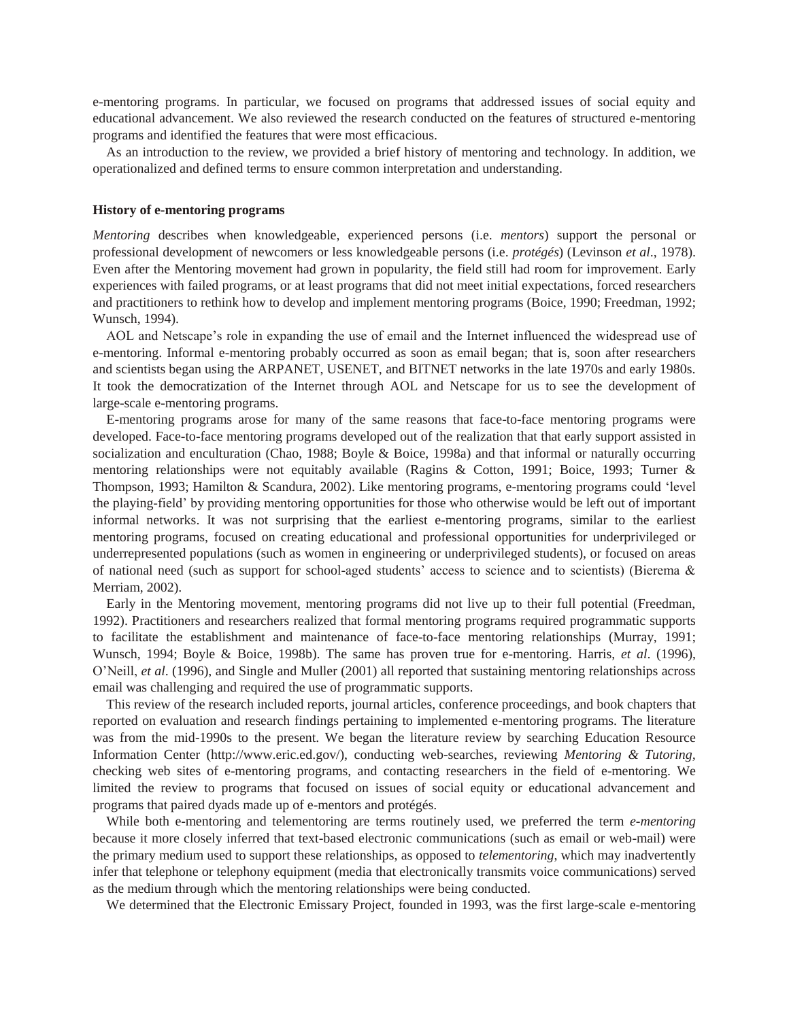e-mentoring programs. In particular, we focused on programs that addressed issues of social equity and educational advancement. We also reviewed the research conducted on the features of structured e-mentoring programs and identified the features that were most efficacious.

As an introduction to the review, we provided a brief history of mentoring and technology. In addition, we operationalized and defined terms to ensure common interpretation and understanding.

#### **History of e-mentoring programs**

*Mentoring* describes when knowledgeable, experienced persons (i.e. *mentors*) support the personal or professional development of newcomers or less knowledgeable persons (i.e. *protégés*) (Levinson *et al*., 1978). Even after the Mentoring movement had grown in popularity, the field still had room for improvement. Early experiences with failed programs, or at least programs that did not meet initial expectations, forced researchers and practitioners to rethink how to develop and implement mentoring programs (Boice, 1990; Freedman, 1992; Wunsch, 1994).

AOL and Netscape's role in expanding the use of email and the Internet influenced the widespread use of e-mentoring. Informal e-mentoring probably occurred as soon as email began; that is, soon after researchers and scientists began using the ARPANET, USENET, and BITNET networks in the late 1970s and early 1980s. It took the democratization of the Internet through AOL and Netscape for us to see the development of large-scale e-mentoring programs.

E-mentoring programs arose for many of the same reasons that face-to-face mentoring programs were developed. Face-to-face mentoring programs developed out of the realization that that early support assisted in socialization and enculturation (Chao, 1988; Boyle & Boice, 1998a) and that informal or naturally occurring mentoring relationships were not equitably available (Ragins & Cotton, 1991; Boice, 1993; Turner & Thompson, 1993; Hamilton & Scandura, 2002). Like mentoring programs, e-mentoring programs could 'level the playing-field' by providing mentoring opportunities for those who otherwise would be left out of important informal networks. It was not surprising that the earliest e-mentoring programs, similar to the earliest mentoring programs, focused on creating educational and professional opportunities for underprivileged or underrepresented populations (such as women in engineering or underprivileged students), or focused on areas of national need (such as support for school-aged students' access to science and to scientists) (Bierema & Merriam, 2002).

Early in the Mentoring movement, mentoring programs did not live up to their full potential (Freedman, 1992). Practitioners and researchers realized that formal mentoring programs required programmatic supports to facilitate the establishment and maintenance of face-to-face mentoring relationships (Murray, 1991; Wunsch, 1994; Boyle & Boice, 1998b). The same has proven true for e-mentoring. Harris, *et al*. (1996), O'Neill, *et al*. (1996), and Single and Muller (2001) all reported that sustaining mentoring relationships across email was challenging and required the use of programmatic supports.

This review of the research included reports, journal articles, conference proceedings, and book chapters that reported on evaluation and research findings pertaining to implemented e-mentoring programs. The literature was from the mid-1990s to the present. We began the literature review by searching Education Resource Information Center (http://www.eric.ed.gov/), conducting web-searches, reviewing *Mentoring & Tutoring,* checking web sites of e-mentoring programs, and contacting researchers in the field of e-mentoring. We limited the review to programs that focused on issues of social equity or educational advancement and programs that paired dyads made up of e-mentors and protégés.

While both e-mentoring and telementoring are terms routinely used, we preferred the term *e-mentoring*  because it more closely inferred that text-based electronic communications (such as email or web-mail) were the primary medium used to support these relationships, as opposed to *telementoring*, which may inadvertently infer that telephone or telephony equipment (media that electronically transmits voice communications) served as the medium through which the mentoring relationships were being conducted.

We determined that the Electronic Emissary Project, founded in 1993, was the first large-scale e-mentoring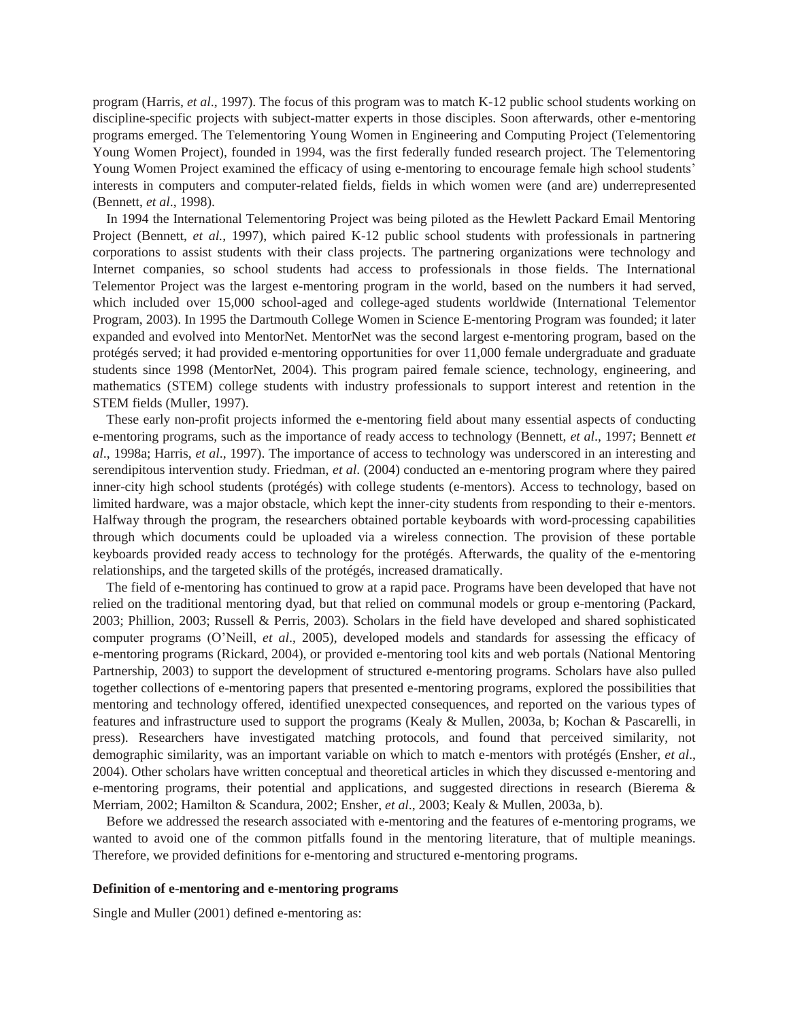program (Harris, *et al*., 1997). The focus of this program was to match K-12 public school students working on discipline-specific projects with subject-matter experts in those disciples. Soon afterwards, other e-mentoring programs emerged. The Telementoring Young Women in Engineering and Computing Project (Telementoring Young Women Project), founded in 1994, was the first federally funded research project. The Telementoring Young Women Project examined the efficacy of using e-mentoring to encourage female high school students' interests in computers and computer-related fields, fields in which women were (and are) underrepresented (Bennett, *et al*., 1998).

In 1994 the International Telementoring Project was being piloted as the Hewlett Packard Email Mentoring Project (Bennett, *et al.*, 1997), which paired K-12 public school students with professionals in partnering corporations to assist students with their class projects. The partnering organizations were technology and Internet companies, so school students had access to professionals in those fields. The International Telementor Project was the largest e-mentoring program in the world, based on the numbers it had served, which included over 15,000 school-aged and college-aged students worldwide (International Telementor Program, 2003). In 1995 the Dartmouth College Women in Science E-mentoring Program was founded; it later expanded and evolved into MentorNet. MentorNet was the second largest e-mentoring program, based on the protégés served; it had provided e-mentoring opportunities for over 11,000 female undergraduate and graduate students since 1998 (MentorNet, 2004). This program paired female science, technology, engineering, and mathematics (STEM) college students with industry professionals to support interest and retention in the STEM fields (Muller, 1997).

These early non-profit projects informed the e-mentoring field about many essential aspects of conducting e-mentoring programs, such as the importance of ready access to technology (Bennett, *et al*., 1997; Bennett *et al*., 1998a; Harris, *et al*., 1997). The importance of access to technology was underscored in an interesting and serendipitous intervention study. Friedman, *et al*. (2004) conducted an e-mentoring program where they paired inner-city high school students (protégés) with college students (e-mentors). Access to technology, based on limited hardware, was a major obstacle, which kept the inner-city students from responding to their e-mentors. Halfway through the program, the researchers obtained portable keyboards with word-processing capabilities through which documents could be uploaded via a wireless connection. The provision of these portable keyboards provided ready access to technology for the protégés. Afterwards, the quality of the e-mentoring relationships, and the targeted skills of the protégés, increased dramatically.

The field of e-mentoring has continued to grow at a rapid pace. Programs have been developed that have not relied on the traditional mentoring dyad, but that relied on communal models or group e-mentoring (Packard, 2003; Phillion, 2003; Russell & Perris, 2003). Scholars in the field have developed and shared sophisticated computer programs (O'Neill, *et al*., 2005), developed models and standards for assessing the efficacy of e-mentoring programs (Rickard, 2004), or provided e-mentoring tool kits and web portals (National Mentoring Partnership, 2003) to support the development of structured e-mentoring programs. Scholars have also pulled together collections of e-mentoring papers that presented e-mentoring programs, explored the possibilities that mentoring and technology offered, identified unexpected consequences, and reported on the various types of features and infrastructure used to support the programs (Kealy & Mullen, 2003a, b; Kochan & Pascarelli, in press). Researchers have investigated matching protocols, and found that perceived similarity, not demographic similarity, was an important variable on which to match e-mentors with protégés (Ensher, *et al*., 2004). Other scholars have written conceptual and theoretical articles in which they discussed e-mentoring and e-mentoring programs, their potential and applications, and suggested directions in research (Bierema & Merriam, 2002; Hamilton & Scandura, 2002; Ensher, *et al*., 2003; Kealy & Mullen, 2003a, b).

Before we addressed the research associated with e-mentoring and the features of e-mentoring programs, we wanted to avoid one of the common pitfalls found in the mentoring literature, that of multiple meanings. Therefore, we provided definitions for e-mentoring and structured e-mentoring programs.

## **Definition of e-mentoring and e-mentoring programs**

Single and Muller (2001) defined e-mentoring as: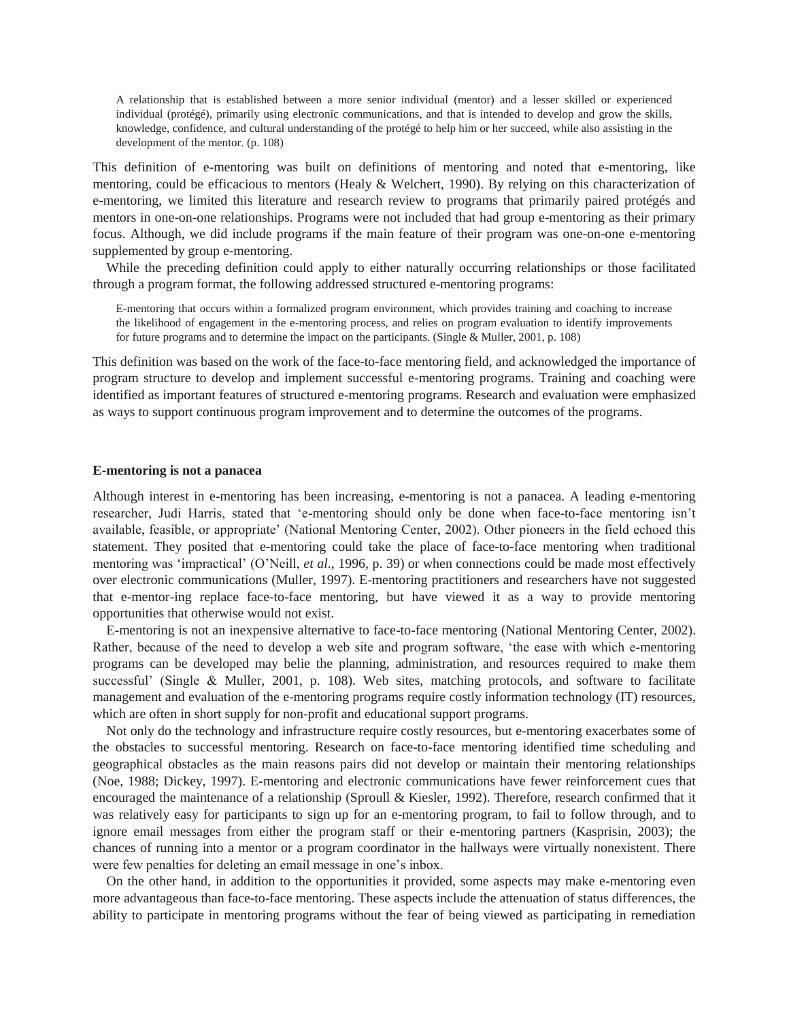A relationship that is established between a more senior individual (mentor) and a lesser skilled or experienced individual (protégé), primarily using electronic communications, and that is intended to develop and grow the skills, knowledge, confidence, and cultural understanding of the protégé to help him or her succeed, while also assisting in the development of the mentor. (p. 108)

This definition of e-mentoring was built on definitions of mentoring and noted that e-mentoring, like mentoring, could be efficacious to mentors (Healy & Welchert, 1990). By relying on this characterization of e-mentoring, we limited this literature and research review to programs that primarily paired protégés and mentors in one-on-one relationships. Programs were not included that had group e-mentoring as their primary focus. Although, we did include programs if the main feature of their program was one-on-one e-mentoring supplemented by group e-mentoring.

While the preceding definition could apply to either naturally occurring relationships or those facilitated through a program format, the following addressed structured e-mentoring programs:

E-mentoring that occurs within a formalized program environment, which provides training and coaching to increase the likelihood of engagement in the e-mentoring process, and relies on program evaluation to identify improvements for future programs and to determine the impact on the participants. (Single & Muller, 2001, p. 108)

This definition was based on the work of the face-to-face mentoring field, and acknowledged the importance of program structure to develop and implement successful e-mentoring programs. Training and coaching were identified as important features of structured e-mentoring programs. Research and evaluation were emphasized as ways to support continuous program improvement and to determine the outcomes of the programs.

### **E-mentoring is not a panacea**

Although interest in e-mentoring has been increasing, e-mentoring is not a panacea. A leading e-mentoring researcher, Judi Harris, stated that 'e-mentoring should only be done when face-to-face mentoring isn't available, feasible, or appropriate' (National Mentoring Center, 2002). Other pioneers in the field echoed this statement. They posited that e-mentoring could take the place of face-to-face mentoring when traditional mentoring was 'impractical' (O'Neill, *et al*., 1996, p. 39) or when connections could be made most effectively over electronic communications (Muller, 1997). E-mentoring practitioners and researchers have not suggested that e-mentor-ing replace face-to-face mentoring, but have viewed it as a way to provide mentoring opportunities that otherwise would not exist.

E-mentoring is not an inexpensive alternative to face-to-face mentoring (National Mentoring Center, 2002). Rather, because of the need to develop a web site and program software, 'the ease with which e-mentoring programs can be developed may belie the planning, administration, and resources required to make them successful' (Single & Muller, 2001, p. 108). Web sites, matching protocols, and software to facilitate management and evaluation of the e-mentoring programs require costly information technology (IT) resources, which are often in short supply for non-profit and educational support programs.

Not only do the technology and infrastructure require costly resources, but e-mentoring exacerbates some of the obstacles to successful mentoring. Research on face-to-face mentoring identified time scheduling and geographical obstacles as the main reasons pairs did not develop or maintain their mentoring relationships (Noe, 1988; Dickey, 1997). E-mentoring and electronic communications have fewer reinforcement cues that encouraged the maintenance of a relationship (Sproull & Kiesler, 1992). Therefore, research confirmed that it was relatively easy for participants to sign up for an e-mentoring program, to fail to follow through, and to ignore email messages from either the program staff or their e-mentoring partners (Kasprisin, 2003); the chances of running into a mentor or a program coordinator in the hallways were virtually nonexistent. There were few penalties for deleting an email message in one's inbox.

On the other hand, in addition to the opportunities it provided, some aspects may make e-mentoring even more advantageous than face-to-face mentoring. These aspects include the attenuation of status differences, the ability to participate in mentoring programs without the fear of being viewed as participating in remediation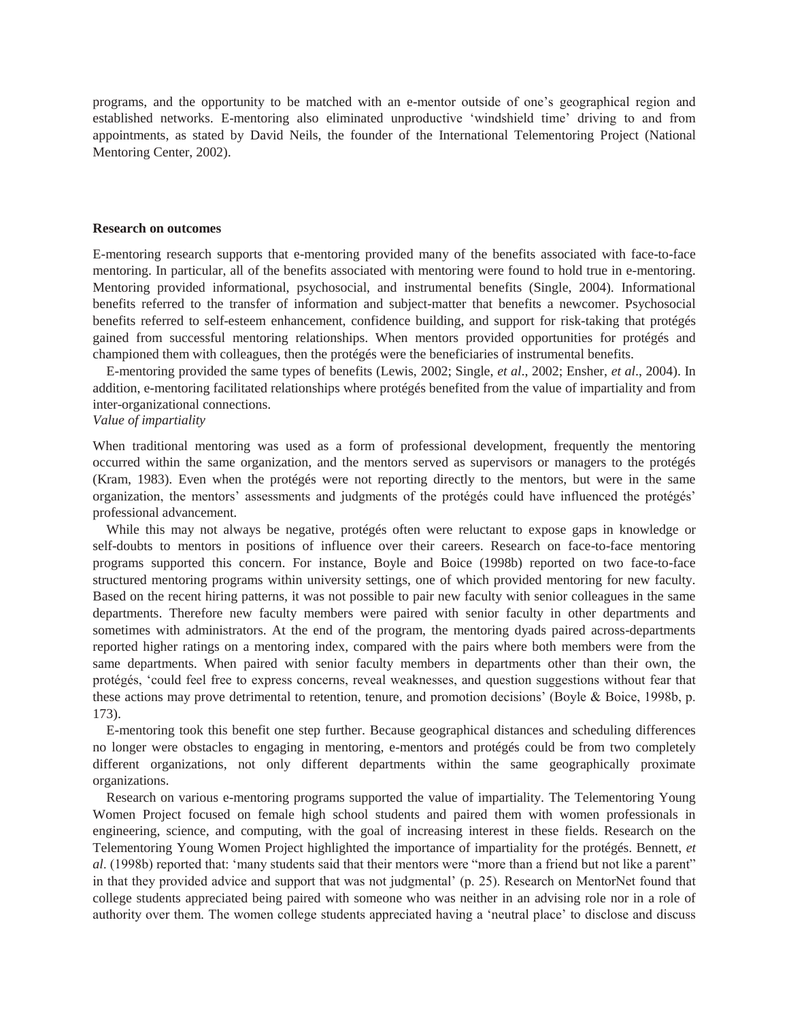programs, and the opportunity to be matched with an e-mentor outside of one's geographical region and established networks. E-mentoring also eliminated unproductive 'windshield time' driving to and from appointments, as stated by David Neils, the founder of the International Telementoring Project (National Mentoring Center, 2002).

## **Research on outcomes**

E-mentoring research supports that e-mentoring provided many of the benefits associated with face-to-face mentoring. In particular, all of the benefits associated with mentoring were found to hold true in e-mentoring. Mentoring provided informational, psychosocial, and instrumental benefits (Single, 2004). Informational benefits referred to the transfer of information and subject-matter that benefits a newcomer. Psychosocial benefits referred to self-esteem enhancement, confidence building, and support for risk-taking that protégés gained from successful mentoring relationships. When mentors provided opportunities for protégés and championed them with colleagues, then the protégés were the beneficiaries of instrumental benefits.

E-mentoring provided the same types of benefits (Lewis, 2002; Single, *et al*., 2002; Ensher, *et al*., 2004). In addition, e-mentoring facilitated relationships where protégés benefited from the value of impartiality and from inter-organizational connections.

## *Value of impartiality*

When traditional mentoring was used as a form of professional development, frequently the mentoring occurred within the same organization, and the mentors served as supervisors or managers to the protégés (Kram, 1983). Even when the protégés were not reporting directly to the mentors, but were in the same organization, the mentors' assessments and judgments of the protégés could have influenced the protégés' professional advancement.

While this may not always be negative, protégés often were reluctant to expose gaps in knowledge or self-doubts to mentors in positions of influence over their careers. Research on face-to-face mentoring programs supported this concern. For instance, Boyle and Boice (1998b) reported on two face-to-face structured mentoring programs within university settings, one of which provided mentoring for new faculty. Based on the recent hiring patterns, it was not possible to pair new faculty with senior colleagues in the same departments. Therefore new faculty members were paired with senior faculty in other departments and sometimes with administrators. At the end of the program, the mentoring dyads paired across-departments reported higher ratings on a mentoring index, compared with the pairs where both members were from the same departments. When paired with senior faculty members in departments other than their own, the protégés, 'could feel free to express concerns, reveal weaknesses, and question suggestions without fear that these actions may prove detrimental to retention, tenure, and promotion decisions' (Boyle & Boice, 1998b, p. 173).

E-mentoring took this benefit one step further. Because geographical distances and scheduling differences no longer were obstacles to engaging in mentoring, e-mentors and protégés could be from two completely different organizations, not only different departments within the same geographically proximate organizations.

Research on various e-mentoring programs supported the value of impartiality. The Telementoring Young Women Project focused on female high school students and paired them with women professionals in engineering, science, and computing, with the goal of increasing interest in these fields. Research on the Telementoring Young Women Project highlighted the importance of impartiality for the protégés. Bennett, *et al*. (1998b) reported that: 'many students said that their mentors were "more than a friend but not like a parent" in that they provided advice and support that was not judgmental' (p. 25). Research on MentorNet found that college students appreciated being paired with someone who was neither in an advising role nor in a role of authority over them. The women college students appreciated having a 'neutral place' to disclose and discuss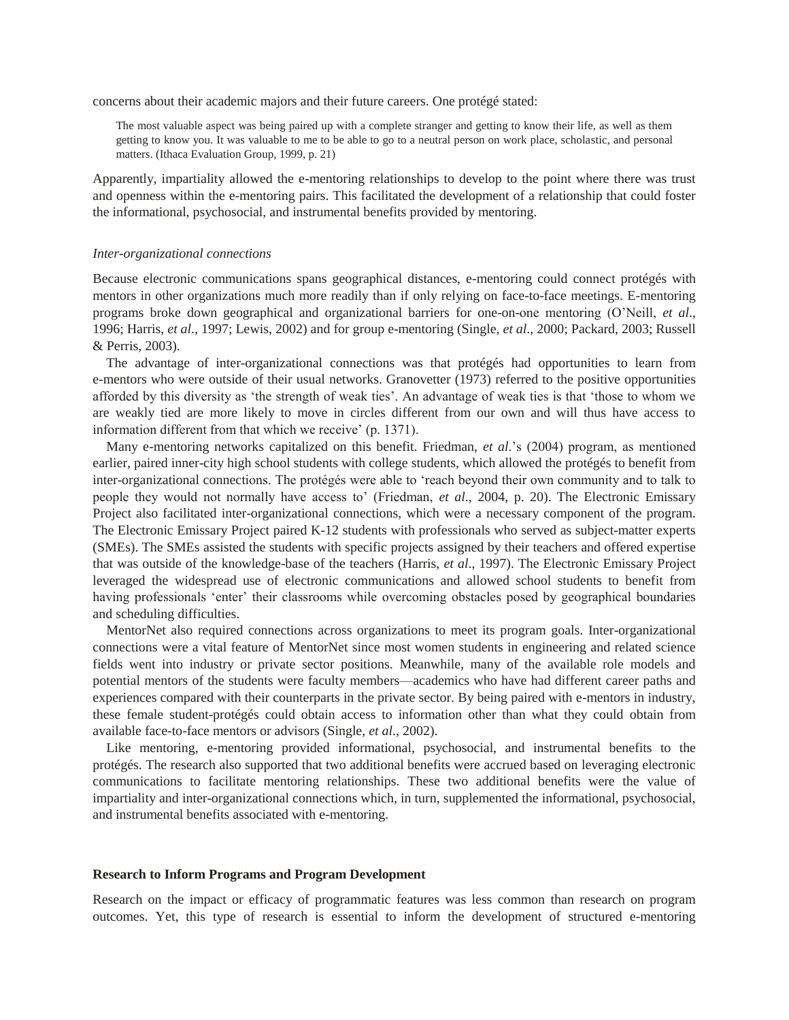concerns about their academic majors and their future careers. One protégé stated:

The most valuable aspect was being paired up with a complete stranger and getting to know their life, as well as them getting to know you. It was valuable to me to be able to go to a neutral person on work place, scholastic, and personal matters. (Ithaca Evaluation Group, 1999, p. 21)

Apparently, impartiality allowed the e-mentoring relationships to develop to the point where there was trust and openness within the e-mentoring pairs. This facilitated the development of a relationship that could foster the informational, psychosocial, and instrumental benefits provided by mentoring.

#### *Inter-organizational connections*

Because electronic communications spans geographical distances, e-mentoring could connect protégés with mentors in other organizations much more readily than if only relying on face-to-face meetings. E-mentoring programs broke down geographical and organizational barriers for one-on-one mentoring (O'Neill, *et al*., 1996; Harris, *et al*., 1997; Lewis, 2002) and for group e-mentoring (Single, *et al*., 2000; Packard, 2003; Russell & Perris, 2003).

The advantage of inter-organizational connections was that protégés had opportunities to learn from e-mentors who were outside of their usual networks. Granovetter (1973) referred to the positive opportunities afforded by this diversity as 'the strength of weak ties'. An advantage of weak ties is that 'those to whom we are weakly tied are more likely to move in circles different from our own and will thus have access to information different from that which we receive' (p. 1371).

Many e-mentoring networks capitalized on this benefit. Friedman, *et al*.'s (2004) program, as mentioned earlier, paired inner-city high school students with college students, which allowed the protégés to benefit from inter-organizational connections. The protégés were able to 'reach beyond their own community and to talk to people they would not normally have access to' (Friedman, *et al*., 2004, p. 20). The Electronic Emissary Project also facilitated inter-organizational connections, which were a necessary component of the program. The Electronic Emissary Project paired K-12 students with professionals who served as subject-matter experts (SMEs). The SMEs assisted the students with specific projects assigned by their teachers and offered expertise that was outside of the knowledge-base of the teachers (Harris, *et al*., 1997). The Electronic Emissary Project leveraged the widespread use of electronic communications and allowed school students to benefit from having professionals 'enter' their classrooms while overcoming obstacles posed by geographical boundaries and scheduling difficulties.

MentorNet also required connections across organizations to meet its program goals. Inter-organizational connections were a vital feature of MentorNet since most women students in engineering and related science fields went into industry or private sector positions. Meanwhile, many of the available role models and potential mentors of the students were faculty members—academics who have had different career paths and experiences compared with their counterparts in the private sector. By being paired with e-mentors in industry, these female student-protégés could obtain access to information other than what they could obtain from available face-to-face mentors or advisors (Single, *et al*., 2002).

Like mentoring, e-mentoring provided informational, psychosocial, and instrumental benefits to the protégés. The research also supported that two additional benefits were accrued based on leveraging electronic communications to facilitate mentoring relationships. These two additional benefits were the value of impartiality and inter-organizational connections which, in turn, supplemented the informational, psychosocial, and instrumental benefits associated with e-mentoring.

#### **Research to Inform Programs and Program Development**

Research on the impact or efficacy of programmatic features was less common than research on program outcomes. Yet, this type of research is essential to inform the development of structured e-mentoring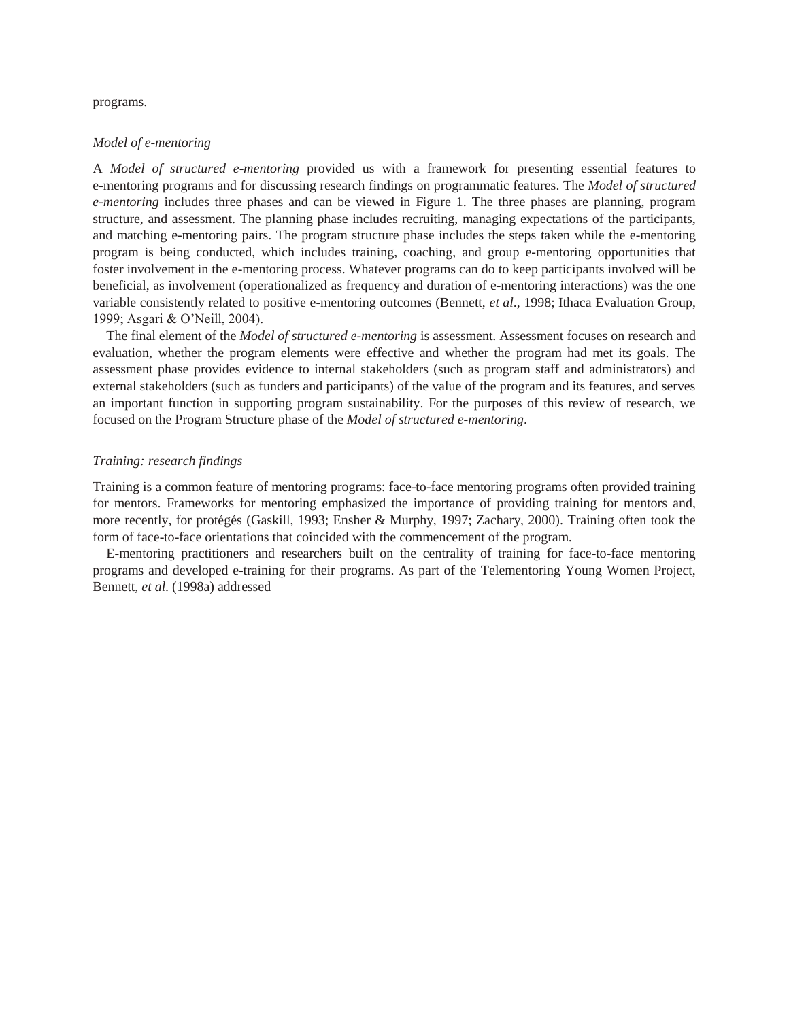## programs.

## *Model of e-mentoring*

A *Model of structured e-mentoring* provided us with a framework for presenting essential features to e-mentoring programs and for discussing research findings on programmatic features. The *Model of structured e-mentoring* includes three phases and can be viewed in Figure 1. The three phases are planning, program structure, and assessment. The planning phase includes recruiting, managing expectations of the participants, and matching e-mentoring pairs. The program structure phase includes the steps taken while the e-mentoring program is being conducted, which includes training, coaching, and group e-mentoring opportunities that foster involvement in the e-mentoring process. Whatever programs can do to keep participants involved will be beneficial, as involvement (operationalized as frequency and duration of e-mentoring interactions) was the one variable consistently related to positive e-mentoring outcomes (Bennett, *et al*., 1998; Ithaca Evaluation Group, 1999; Asgari & O'Neill, 2004).

The final element of the *Model of structured e-mentoring* is assessment. Assessment focuses on research and evaluation, whether the program elements were effective and whether the program had met its goals. The assessment phase provides evidence to internal stakeholders (such as program staff and administrators) and external stakeholders (such as funders and participants) of the value of the program and its features, and serves an important function in supporting program sustainability. For the purposes of this review of research, we focused on the Program Structure phase of the *Model of structured e-mentoring*.

## *Training: research findings*

Training is a common feature of mentoring programs: face-to-face mentoring programs often provided training for mentors. Frameworks for mentoring emphasized the importance of providing training for mentors and, more recently, for protégés (Gaskill, 1993; Ensher & Murphy, 1997; Zachary, 2000). Training often took the form of face-to-face orientations that coincided with the commencement of the program.

E-mentoring practitioners and researchers built on the centrality of training for face-to-face mentoring programs and developed e-training for their programs. As part of the Telementoring Young Women Project, Bennett, *et al*. (1998a) addressed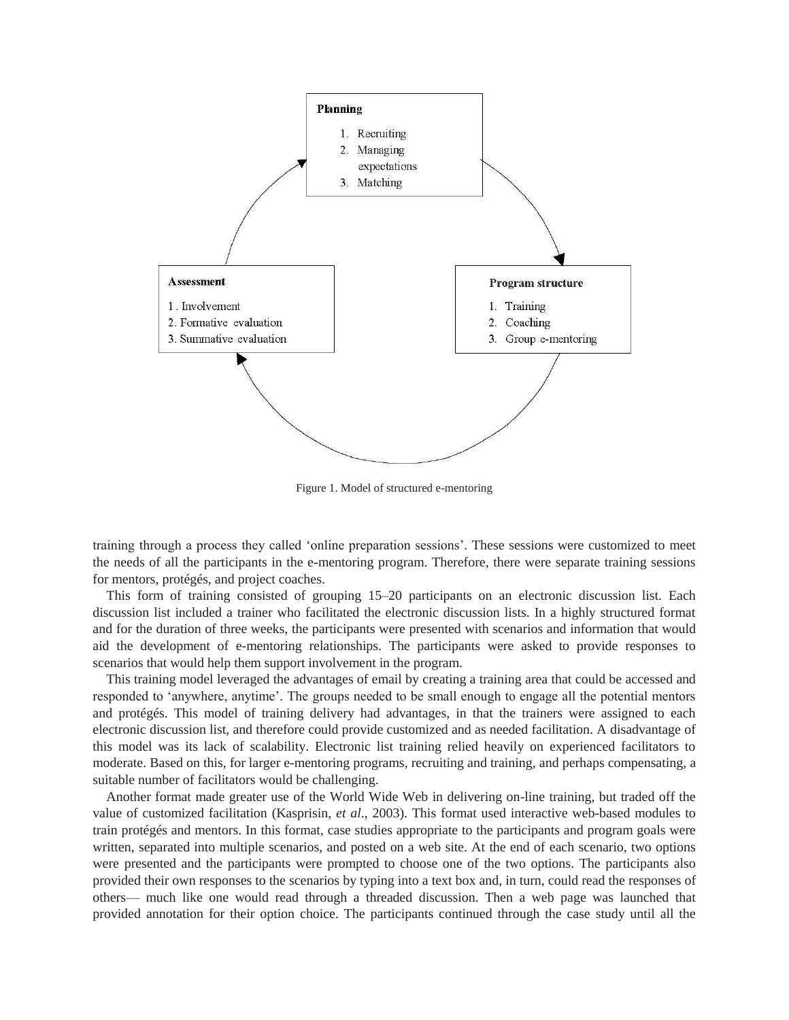

Figure 1. Model of structured e-mentoring

training through a process they called 'online preparation sessions'. These sessions were customized to meet the needs of all the participants in the e-mentoring program. Therefore, there were separate training sessions for mentors, protégés, and project coaches.

This form of training consisted of grouping 15–20 participants on an electronic discussion list. Each discussion list included a trainer who facilitated the electronic discussion lists. In a highly structured format and for the duration of three weeks, the participants were presented with scenarios and information that would aid the development of e-mentoring relationships. The participants were asked to provide responses to scenarios that would help them support involvement in the program.

This training model leveraged the advantages of email by creating a training area that could be accessed and responded to 'anywhere, anytime'. The groups needed to be small enough to engage all the potential mentors and protégés. This model of training delivery had advantages, in that the trainers were assigned to each electronic discussion list, and therefore could provide customized and as needed facilitation. A disadvantage of this model was its lack of scalability. Electronic list training relied heavily on experienced facilitators to moderate. Based on this, for larger e-mentoring programs, recruiting and training, and perhaps compensating, a suitable number of facilitators would be challenging.

Another format made greater use of the World Wide Web in delivering on-line training, but traded off the value of customized facilitation (Kasprisin, *et al*., 2003). This format used interactive web-based modules to train protégés and mentors. In this format, case studies appropriate to the participants and program goals were written, separated into multiple scenarios, and posted on a web site. At the end of each scenario, two options were presented and the participants were prompted to choose one of the two options. The participants also provided their own responses to the scenarios by typing into a text box and, in turn, could read the responses of others— much like one would read through a threaded discussion. Then a web page was launched that provided annotation for their option choice. The participants continued through the case study until all the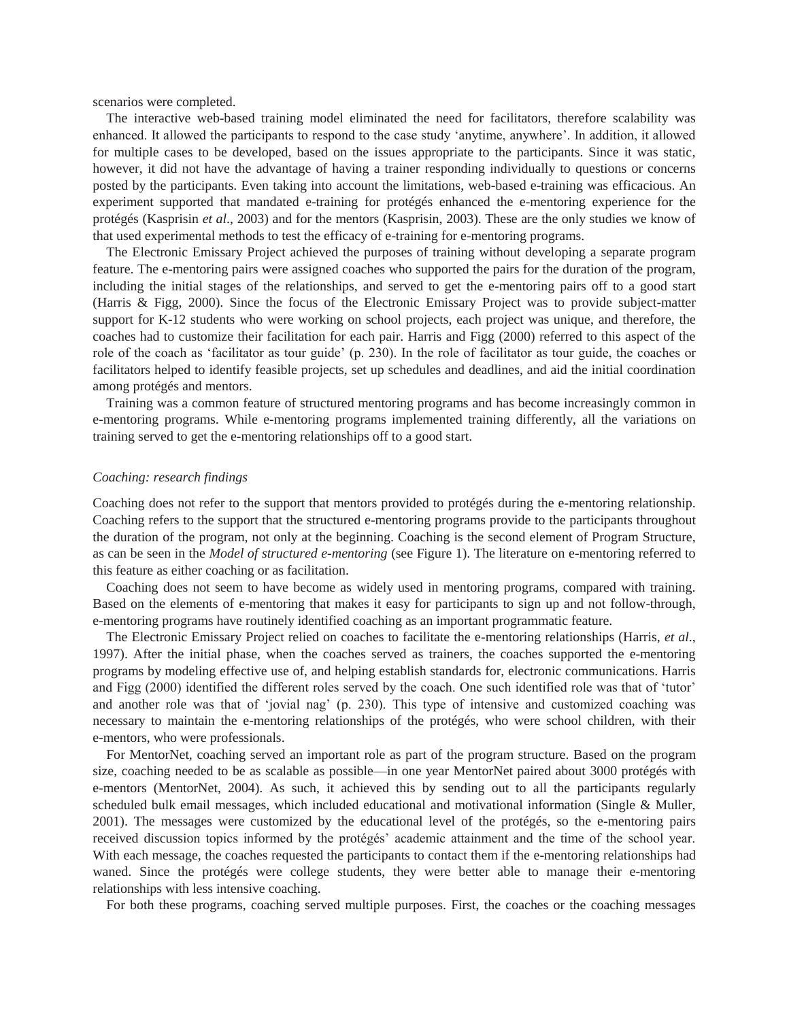scenarios were completed.

The interactive web-based training model eliminated the need for facilitators, therefore scalability was enhanced. It allowed the participants to respond to the case study 'anytime, anywhere'. In addition, it allowed for multiple cases to be developed, based on the issues appropriate to the participants. Since it was static, however, it did not have the advantage of having a trainer responding individually to questions or concerns posted by the participants. Even taking into account the limitations, web-based e-training was efficacious. An experiment supported that mandated e-training for protégés enhanced the e-mentoring experience for the protégés (Kasprisin *et al*., 2003) and for the mentors (Kasprisin, 2003). These are the only studies we know of that used experimental methods to test the efficacy of e-training for e-mentoring programs.

The Electronic Emissary Project achieved the purposes of training without developing a separate program feature. The e-mentoring pairs were assigned coaches who supported the pairs for the duration of the program, including the initial stages of the relationships, and served to get the e-mentoring pairs off to a good start (Harris & Figg, 2000). Since the focus of the Electronic Emissary Project was to provide subject-matter support for K-12 students who were working on school projects, each project was unique, and therefore, the coaches had to customize their facilitation for each pair. Harris and Figg (2000) referred to this aspect of the role of the coach as 'facilitator as tour guide' (p. 230). In the role of facilitator as tour guide, the coaches or facilitators helped to identify feasible projects, set up schedules and deadlines, and aid the initial coordination among protégés and mentors.

Training was a common feature of structured mentoring programs and has become increasingly common in e-mentoring programs. While e-mentoring programs implemented training differently, all the variations on training served to get the e-mentoring relationships off to a good start.

#### *Coaching: research findings*

Coaching does not refer to the support that mentors provided to protégés during the e-mentoring relationship. Coaching refers to the support that the structured e-mentoring programs provide to the participants throughout the duration of the program, not only at the beginning. Coaching is the second element of Program Structure, as can be seen in the *Model of structured e-mentoring* (see Figure 1). The literature on e-mentoring referred to this feature as either coaching or as facilitation.

Coaching does not seem to have become as widely used in mentoring programs, compared with training. Based on the elements of e-mentoring that makes it easy for participants to sign up and not follow-through, e-mentoring programs have routinely identified coaching as an important programmatic feature.

The Electronic Emissary Project relied on coaches to facilitate the e-mentoring relationships (Harris, *et al*., 1997). After the initial phase, when the coaches served as trainers, the coaches supported the e-mentoring programs by modeling effective use of, and helping establish standards for, electronic communications. Harris and Figg (2000) identified the different roles served by the coach. One such identified role was that of 'tutor' and another role was that of 'jovial nag' (p. 230). This type of intensive and customized coaching was necessary to maintain the e-mentoring relationships of the protégés, who were school children, with their e-mentors, who were professionals.

For MentorNet, coaching served an important role as part of the program structure. Based on the program size, coaching needed to be as scalable as possible—in one year MentorNet paired about 3000 protégés with e-mentors (MentorNet, 2004). As such, it achieved this by sending out to all the participants regularly scheduled bulk email messages, which included educational and motivational information (Single & Muller, 2001). The messages were customized by the educational level of the protégés, so the e-mentoring pairs received discussion topics informed by the protégés' academic attainment and the time of the school year. With each message, the coaches requested the participants to contact them if the e-mentoring relationships had waned. Since the protégés were college students, they were better able to manage their e-mentoring relationships with less intensive coaching.

For both these programs, coaching served multiple purposes. First, the coaches or the coaching messages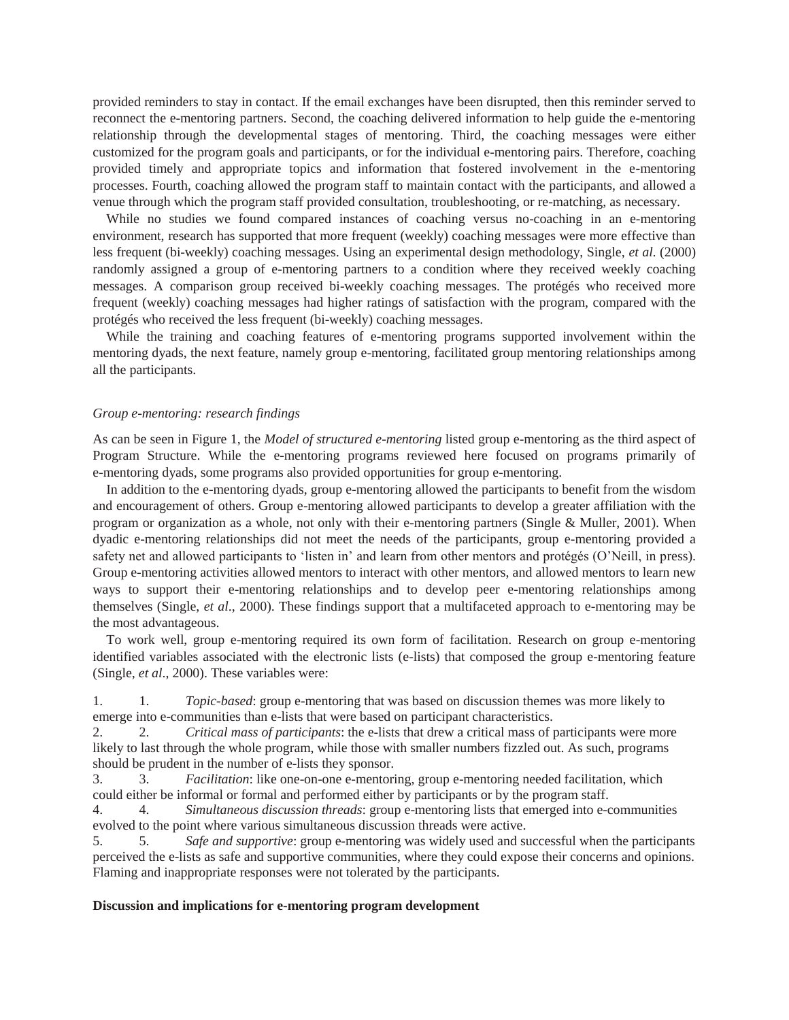provided reminders to stay in contact. If the email exchanges have been disrupted, then this reminder served to reconnect the e-mentoring partners. Second, the coaching delivered information to help guide the e-mentoring relationship through the developmental stages of mentoring. Third, the coaching messages were either customized for the program goals and participants, or for the individual e-mentoring pairs. Therefore, coaching provided timely and appropriate topics and information that fostered involvement in the e-mentoring processes. Fourth, coaching allowed the program staff to maintain contact with the participants, and allowed a venue through which the program staff provided consultation, troubleshooting, or re-matching, as necessary.

While no studies we found compared instances of coaching versus no-coaching in an e-mentoring environment, research has supported that more frequent (weekly) coaching messages were more effective than less frequent (bi-weekly) coaching messages. Using an experimental design methodology, Single, *et al*. (2000) randomly assigned a group of e-mentoring partners to a condition where they received weekly coaching messages. A comparison group received bi-weekly coaching messages. The protégés who received more frequent (weekly) coaching messages had higher ratings of satisfaction with the program, compared with the protégés who received the less frequent (bi-weekly) coaching messages.

While the training and coaching features of e-mentoring programs supported involvement within the mentoring dyads, the next feature, namely group e-mentoring, facilitated group mentoring relationships among all the participants.

## *Group e-mentoring: research findings*

As can be seen in Figure 1, the *Model of structured e-mentoring* listed group e-mentoring as the third aspect of Program Structure. While the e-mentoring programs reviewed here focused on programs primarily of e-mentoring dyads, some programs also provided opportunities for group e-mentoring.

In addition to the e-mentoring dyads, group e-mentoring allowed the participants to benefit from the wisdom and encouragement of others. Group e-mentoring allowed participants to develop a greater affiliation with the program or organization as a whole, not only with their e-mentoring partners (Single & Muller, 2001). When dyadic e-mentoring relationships did not meet the needs of the participants, group e-mentoring provided a safety net and allowed participants to 'listen in' and learn from other mentors and protégés (O'Neill, in press). Group e-mentoring activities allowed mentors to interact with other mentors, and allowed mentors to learn new ways to support their e-mentoring relationships and to develop peer e-mentoring relationships among themselves (Single, *et al*., 2000). These findings support that a multifaceted approach to e-mentoring may be the most advantageous.

To work well, group e-mentoring required its own form of facilitation. Research on group e-mentoring identified variables associated with the electronic lists (e-lists) that composed the group e-mentoring feature (Single, *et al*., 2000). These variables were:

1. 1. *Topic-based*: group e-mentoring that was based on discussion themes was more likely to emerge into e-communities than e-lists that were based on participant characteristics.

2. 2. *Critical mass of participants*: the e-lists that drew a critical mass of participants were more likely to last through the whole program, while those with smaller numbers fizzled out. As such, programs should be prudent in the number of e-lists they sponsor.

3. 3. *Facilitation*: like one-on-one e-mentoring, group e-mentoring needed facilitation, which could either be informal or formal and performed either by participants or by the program staff.

4. 4. *Simultaneous discussion threads*: group e-mentoring lists that emerged into e-communities evolved to the point where various simultaneous discussion threads were active.

5. 5. *Safe and supportive*: group e-mentoring was widely used and successful when the participants perceived the e-lists as safe and supportive communities, where they could expose their concerns and opinions. Flaming and inappropriate responses were not tolerated by the participants.

## **Discussion and implications for e-mentoring program development**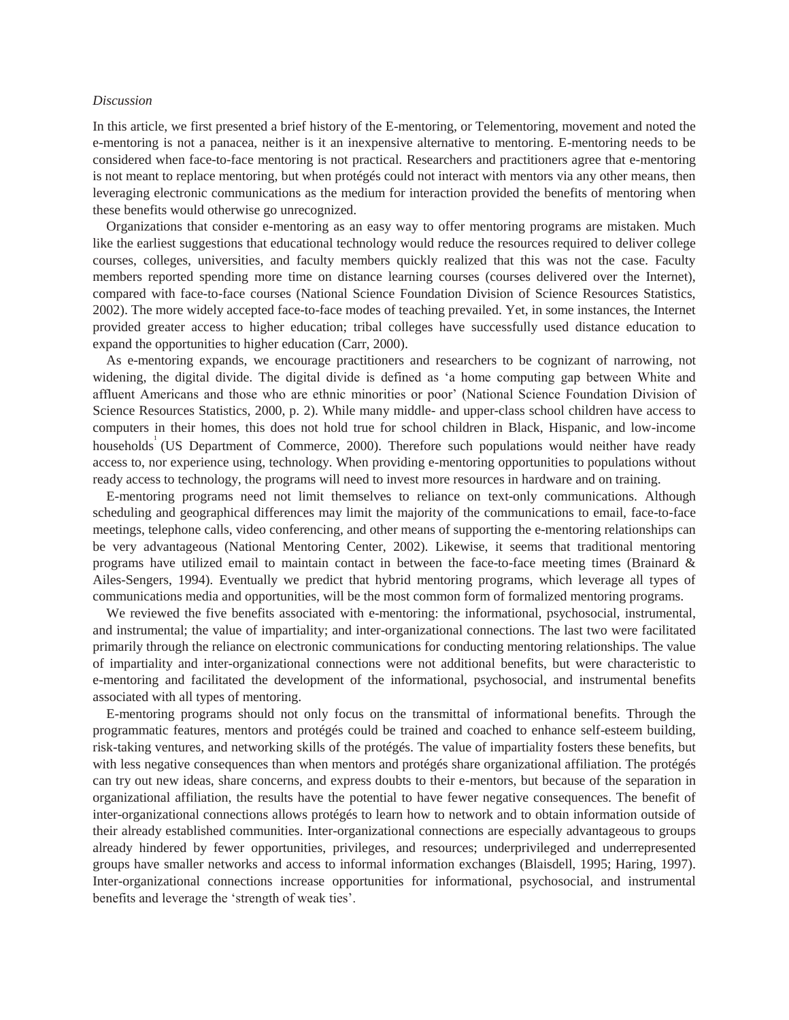#### *Discussion*

In this article, we first presented a brief history of the E-mentoring, or Telementoring, movement and noted the e-mentoring is not a panacea, neither is it an inexpensive alternative to mentoring. E-mentoring needs to be considered when face-to-face mentoring is not practical. Researchers and practitioners agree that e-mentoring is not meant to replace mentoring, but when protégés could not interact with mentors via any other means, then leveraging electronic communications as the medium for interaction provided the benefits of mentoring when these benefits would otherwise go unrecognized.

Organizations that consider e-mentoring as an easy way to offer mentoring programs are mistaken. Much like the earliest suggestions that educational technology would reduce the resources required to deliver college courses, colleges, universities, and faculty members quickly realized that this was not the case. Faculty members reported spending more time on distance learning courses (courses delivered over the Internet), compared with face-to-face courses (National Science Foundation Division of Science Resources Statistics, 2002). The more widely accepted face-to-face modes of teaching prevailed. Yet, in some instances, the Internet provided greater access to higher education; tribal colleges have successfully used distance education to expand the opportunities to higher education (Carr, 2000).

As e-mentoring expands, we encourage practitioners and researchers to be cognizant of narrowing, not widening, the digital divide. The digital divide is defined as 'a home computing gap between White and affluent Americans and those who are ethnic minorities or poor' (National Science Foundation Division of Science Resources Statistics, 2000, p. 2). While many middle- and upper-class school children have access to computers in their homes, this does not hold true for school children in Black, Hispanic, and low-income households (US Department of Commerce, 2000). Therefore such populations would neither have ready access to, nor experience using, technology. When providing e-mentoring opportunities to populations without ready access to technology, the programs will need to invest more resources in hardware and on training.

E-mentoring programs need not limit themselves to reliance on text-only communications. Although scheduling and geographical differences may limit the majority of the communications to email, face-to-face meetings, telephone calls, video conferencing, and other means of supporting the e-mentoring relationships can be very advantageous (National Mentoring Center, 2002). Likewise, it seems that traditional mentoring programs have utilized email to maintain contact in between the face-to-face meeting times (Brainard & Ailes-Sengers, 1994). Eventually we predict that hybrid mentoring programs, which leverage all types of communications media and opportunities, will be the most common form of formalized mentoring programs.

We reviewed the five benefits associated with e-mentoring: the informational, psychosocial, instrumental, and instrumental; the value of impartiality; and inter-organizational connections. The last two were facilitated primarily through the reliance on electronic communications for conducting mentoring relationships. The value of impartiality and inter-organizational connections were not additional benefits, but were characteristic to e-mentoring and facilitated the development of the informational, psychosocial, and instrumental benefits associated with all types of mentoring.

E-mentoring programs should not only focus on the transmittal of informational benefits. Through the programmatic features, mentors and protégés could be trained and coached to enhance self-esteem building, risk-taking ventures, and networking skills of the protégés. The value of impartiality fosters these benefits, but with less negative consequences than when mentors and protégés share organizational affiliation. The protégés can try out new ideas, share concerns, and express doubts to their e-mentors, but because of the separation in organizational affiliation, the results have the potential to have fewer negative consequences. The benefit of inter-organizational connections allows protégés to learn how to network and to obtain information outside of their already established communities. Inter-organizational connections are especially advantageous to groups already hindered by fewer opportunities, privileges, and resources; underprivileged and underrepresented groups have smaller networks and access to informal information exchanges (Blaisdell, 1995; Haring, 1997). Inter-organizational connections increase opportunities for informational, psychosocial, and instrumental benefits and leverage the 'strength of weak ties'.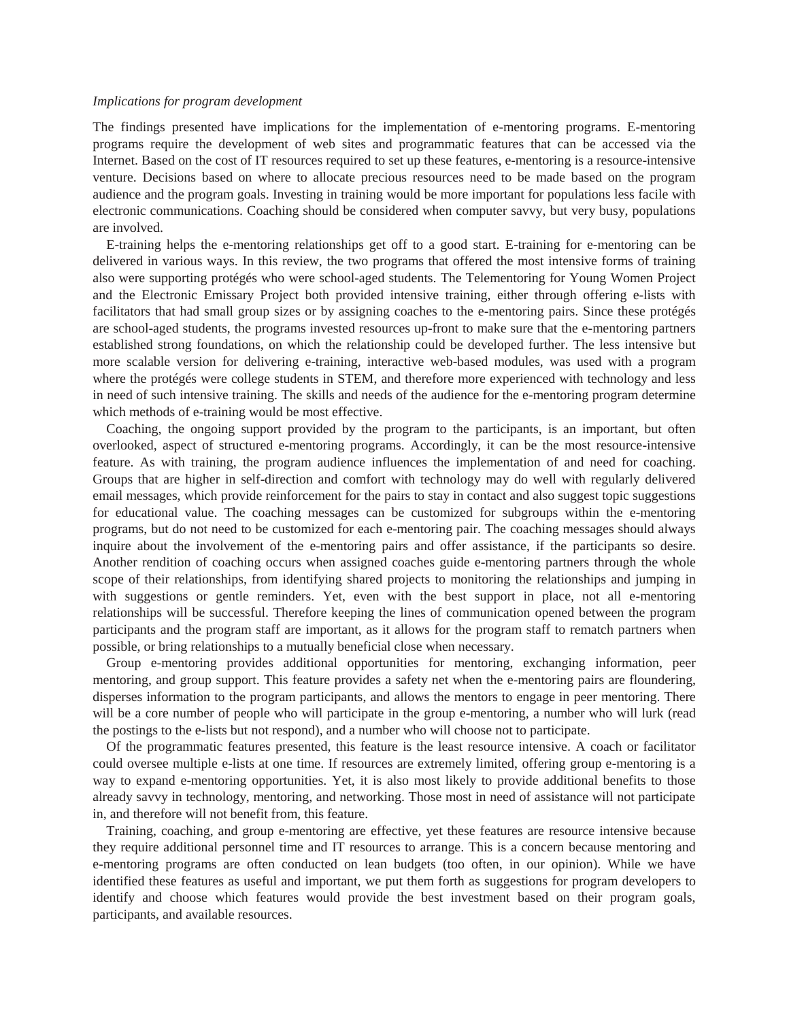#### *Implications for program development*

The findings presented have implications for the implementation of e-mentoring programs. E-mentoring programs require the development of web sites and programmatic features that can be accessed via the Internet. Based on the cost of IT resources required to set up these features, e-mentoring is a resource-intensive venture. Decisions based on where to allocate precious resources need to be made based on the program audience and the program goals. Investing in training would be more important for populations less facile with electronic communications. Coaching should be considered when computer savvy, but very busy, populations are involved.

E-training helps the e-mentoring relationships get off to a good start. E-training for e-mentoring can be delivered in various ways. In this review, the two programs that offered the most intensive forms of training also were supporting protégés who were school-aged students. The Telementoring for Young Women Project and the Electronic Emissary Project both provided intensive training, either through offering e-lists with facilitators that had small group sizes or by assigning coaches to the e-mentoring pairs. Since these protégés are school-aged students, the programs invested resources up-front to make sure that the e-mentoring partners established strong foundations, on which the relationship could be developed further. The less intensive but more scalable version for delivering e-training, interactive web-based modules, was used with a program where the protégés were college students in STEM, and therefore more experienced with technology and less in need of such intensive training. The skills and needs of the audience for the e-mentoring program determine which methods of e-training would be most effective.

Coaching, the ongoing support provided by the program to the participants, is an important, but often overlooked, aspect of structured e-mentoring programs. Accordingly, it can be the most resource-intensive feature. As with training, the program audience influences the implementation of and need for coaching. Groups that are higher in self-direction and comfort with technology may do well with regularly delivered email messages, which provide reinforcement for the pairs to stay in contact and also suggest topic suggestions for educational value. The coaching messages can be customized for subgroups within the e-mentoring programs, but do not need to be customized for each e-mentoring pair. The coaching messages should always inquire about the involvement of the e-mentoring pairs and offer assistance, if the participants so desire. Another rendition of coaching occurs when assigned coaches guide e-mentoring partners through the whole scope of their relationships, from identifying shared projects to monitoring the relationships and jumping in with suggestions or gentle reminders. Yet, even with the best support in place, not all e-mentoring relationships will be successful. Therefore keeping the lines of communication opened between the program participants and the program staff are important, as it allows for the program staff to rematch partners when possible, or bring relationships to a mutually beneficial close when necessary.

Group e-mentoring provides additional opportunities for mentoring, exchanging information, peer mentoring, and group support. This feature provides a safety net when the e-mentoring pairs are floundering, disperses information to the program participants, and allows the mentors to engage in peer mentoring. There will be a core number of people who will participate in the group e-mentoring, a number who will lurk (read the postings to the e-lists but not respond), and a number who will choose not to participate.

Of the programmatic features presented, this feature is the least resource intensive. A coach or facilitator could oversee multiple e-lists at one time. If resources are extremely limited, offering group e-mentoring is a way to expand e-mentoring opportunities. Yet, it is also most likely to provide additional benefits to those already savvy in technology, mentoring, and networking. Those most in need of assistance will not participate in, and therefore will not benefit from, this feature.

Training, coaching, and group e-mentoring are effective, yet these features are resource intensive because they require additional personnel time and IT resources to arrange. This is a concern because mentoring and e-mentoring programs are often conducted on lean budgets (too often, in our opinion). While we have identified these features as useful and important, we put them forth as suggestions for program developers to identify and choose which features would provide the best investment based on their program goals, participants, and available resources.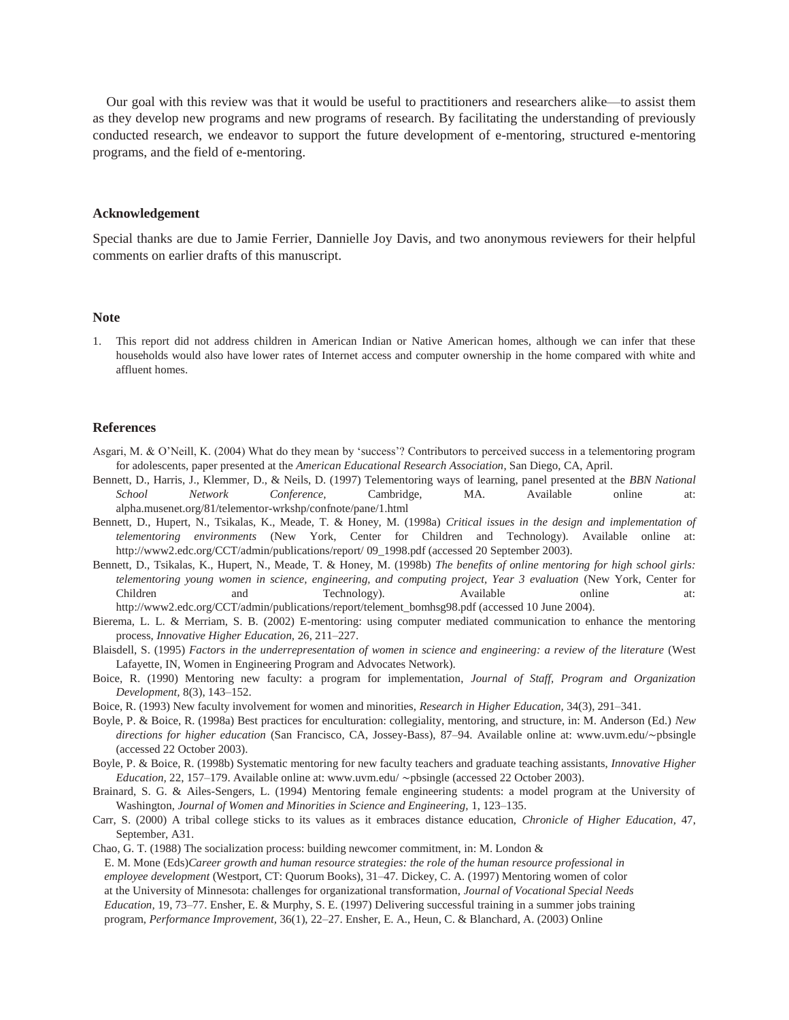Our goal with this review was that it would be useful to practitioners and researchers alike—to assist them as they develop new programs and new programs of research. By facilitating the understanding of previously conducted research, we endeavor to support the future development of e-mentoring, structured e-mentoring programs, and the field of e-mentoring.

#### **Acknowledgement**

Special thanks are due to Jamie Ferrier, Dannielle Joy Davis, and two anonymous reviewers for their helpful comments on earlier drafts of this manuscript.

## **Note**

1. This report did not address children in American Indian or Native American homes, although we can infer that these households would also have lower rates of Internet access and computer ownership in the home compared with white and affluent homes.

#### **References**

- Asgari, M. & O'Neill, K. (2004) What do they mean by 'success'? Contributors to perceived success in a telementoring program for adolescents, paper presented at the *American Educational Research Association*, San Diego, CA, April.
- Bennett, D., Harris, J., Klemmer, D., & Neils, D. (1997) Telementoring ways of learning, panel presented at the *BBN National School Network Conference,* Cambridge, MA. Available online at: alpha.musenet.org/81/telementor-wrkshp/confnote/pane/1.html
- Bennett, D., Hupert, N., Tsikalas, K., Meade, T. & Honey, M. (1998a) *Critical issues in the design and implementation of telementoring environments* (New York, Center for Children and Technology). Available online at: http://www2.edc.org/CCT/admin/publications/report/ 09\_1998.pdf (accessed 20 September 2003).
- Bennett, D., Tsikalas, K., Hupert, N., Meade, T. & Honey, M. (1998b) *The benefits of online mentoring for high school girls: telementoring young women in science, engineering, and computing project, Year 3 evaluation* (New York, Center for Children and Technology). Available online at: http://www2.edc.org/CCT/admin/publications/report/telement\_bomhsg98.pdf (accessed 10 June 2004).
- Bierema, L. L. & Merriam, S. B. (2002) E-mentoring: using computer mediated communication to enhance the mentoring process, *Innovative Higher Education,* 26, 211–227.
- Blaisdell, S. (1995) *Factors in the underrepresentation of women in science and engineering: a review of the literature* (West Lafayette, IN, Women in Engineering Program and Advocates Network).
- Boice, R. (1990) Mentoring new faculty: a program for implementation, *Journal of Staff, Program and Organization Development,* 8(3), 143–152.
- Boice, R. (1993) New faculty involvement for women and minorities, *Research in Higher Education,* 34(3), 291–341.
- Boyle, P. & Boice, R. (1998a) Best practices for enculturation: collegiality, mentoring, and structure, in: M. Anderson (Ed.) *New directions for higher education* (San Francisco, CA, Jossey-Bass), 87–94. Available online at: www.uvm.edu/∼pbsingle (accessed 22 October 2003).
- Boyle, P. & Boice, R. (1998b) Systematic mentoring for new faculty teachers and graduate teaching assistants, *Innovative Higher Education,* 22, 157–179. Available online at: www.uvm.edu/ ∼pbsingle (accessed 22 October 2003).
- Brainard, S. G. & Ailes-Sengers, L. (1994) Mentoring female engineering students: a model program at the University of Washington, *Journal of Women and Minorities in Science and Engineering,* 1, 123–135.
- Carr, S. (2000) A tribal college sticks to its values as it embraces distance education, *Chronicle of Higher Education,* 47, September, A31.
- Chao, G. T. (1988) The socialization process: building newcomer commitment, in: M. London & E. M. Mone (Eds)*Career growth and human resource strategies: the role of the human resource professional in employee development* (Westport, CT: Quorum Books), 31–47. Dickey, C. A. (1997) Mentoring women of color at the University of Minnesota: challenges for organizational transformation, *Journal of Vocational Special Needs Education,* 19, 73–77. Ensher, E. & Murphy, S. E. (1997) Delivering successful training in a summer jobs training program, *Performance Improvement,* 36(1), 22–27. Ensher, E. A., Heun, C. & Blanchard, A. (2003) Online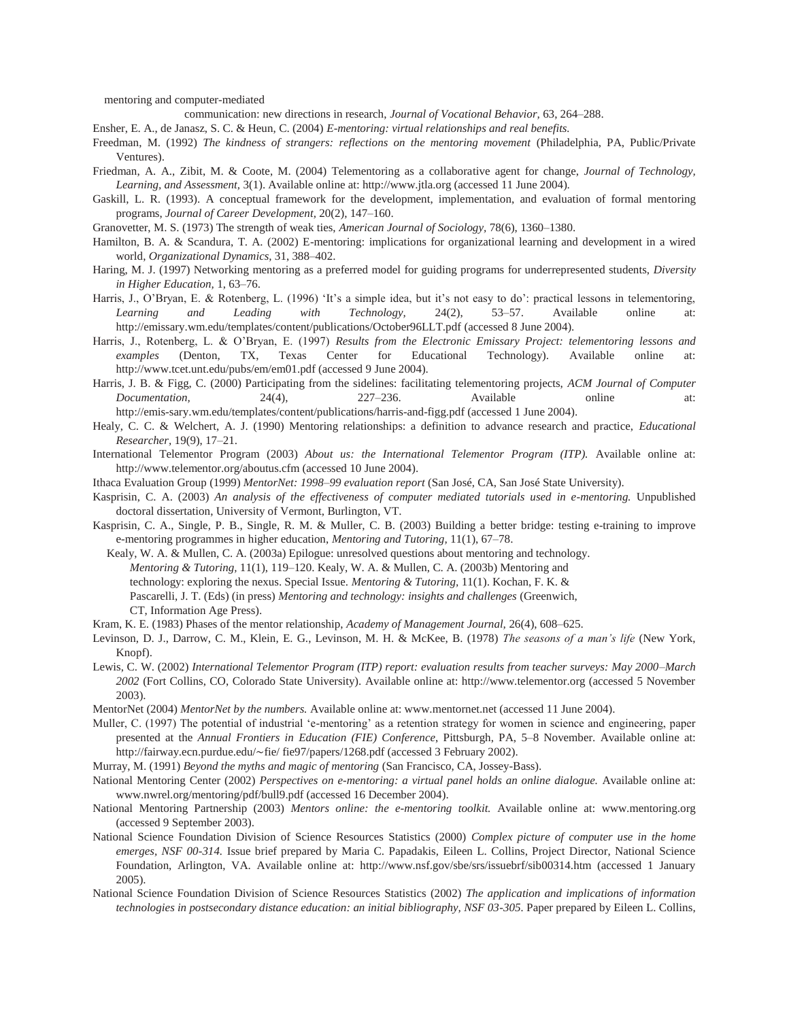mentoring and computer-mediated

communication: new directions in research, *Journal of Vocational Behavior,* 63, 264–288.

Ensher, E. A., de Janasz, S. C. & Heun, C. (2004) *E-mentoring: virtual relationships and real benefits.* 

- Freedman, M. (1992) *The kindness of strangers: reflections on the mentoring movement* (Philadelphia, PA, Public/Private Ventures).
- Friedman, A. A., Zibit, M. & Coote, M. (2004) Telementoring as a collaborative agent for change, *Journal of Technology, Learning, and Assessment,* 3(1). Available online at: http://www.jtla.org (accessed 11 June 2004).
- Gaskill, L. R. (1993). A conceptual framework for the development, implementation, and evaluation of formal mentoring programs, *Journal of Career Development,* 20(2), 147–160.
- Granovetter, M. S. (1973) The strength of weak ties, *American Journal of Sociology,* 78(6), 1360–1380.
- Hamilton, B. A. & Scandura, T. A. (2002) E-mentoring: implications for organizational learning and development in a wired world, *Organizational Dynamics,* 31, 388–402.
- Haring, M. J. (1997) Networking mentoring as a preferred model for guiding programs for underrepresented students, *Diversity in Higher Education,* 1, 63–76.
- Harris, J., O'Bryan, E. & Rotenberg, L. (1996) 'It's a simple idea, but it's not easy to do': practical lessons in telementoring, *Learning and Leading with Technology,* 24(2), 53–57. Available online at: http://emissary.wm.edu/templates/content/publications/October96LLT.pdf (accessed 8 June 2004).
- Harris, J., Rotenberg, L. & O'Bryan, E. (1997) *Results from the Electronic Emissary Project: telementoring lessons and examples* (Denton, TX, Texas Center for Educational Technology). Available online at: http://www.tcet.unt.edu/pubs/em/em01.pdf (accessed 9 June 2004).
- Harris, J. B. & Figg, C. (2000) Participating from the sidelines: facilitating telementoring projects, *ACM Journal of Computer Documentation,* 24(4), 227–236. Available online at: http://emis-sary.wm.edu/templates/content/publications/harris-and-figg.pdf (accessed 1 June 2004).
- Healy, C. C. & Welchert, A. J. (1990) Mentoring relationships: a definition to advance research and practice, *Educational Researcher,* 19(9), 17–21.
- International Telementor Program (2003) *About us: the International Telementor Program (ITP).* Available online at: http://www.telementor.org/aboutus.cfm (accessed 10 June 2004).
- Ithaca Evaluation Group (1999) *MentorNet: 1998–99 evaluation report* (San José, CA, San José State University).
- Kasprisin, C. A. (2003) *An analysis of the effectiveness of computer mediated tutorials used in e-mentoring.* Unpublished doctoral dissertation, University of Vermont, Burlington, VT.
- Kasprisin, C. A., Single, P. B., Single, R. M. & Muller, C. B. (2003) Building a better bridge: testing e-training to improve e-mentoring programmes in higher education, *Mentoring and Tutoring,* 11(1), 67–78.
	- Kealy, W. A. & Mullen, C. A. (2003a) Epilogue: unresolved questions about mentoring and technology. *Mentoring & Tutoring,* 11(1), 119–120. Kealy, W. A. & Mullen, C. A. (2003b) Mentoring and technology: exploring the nexus. Special Issue. *Mentoring & Tutoring,* 11(1). Kochan, F. K. & Pascarelli, J. T. (Eds) (in press) *Mentoring and technology: insights and challenges* (Greenwich, CT, Information Age Press).
- Kram, K. E. (1983) Phases of the mentor relationship, *Academy of Management Journal,* 26(4), 608–625.
- Levinson, D. J., Darrow, C. M., Klein, E. G., Levinson, M. H. & McKee, B. (1978) *The seasons of a man's life* (New York, Knopf).
- Lewis, C. W. (2002) *International Telementor Program (ITP) report: evaluation results from teacher surveys: May 2000–March 2002* (Fort Collins, CO, Colorado State University). Available online at: http://www.telementor.org (accessed 5 November 2003).
- MentorNet (2004) *MentorNet by the numbers.* Available online at: www.mentornet.net (accessed 11 June 2004).
- Muller, C. (1997) The potential of industrial 'e-mentoring' as a retention strategy for women in science and engineering, paper presented at the *Annual Frontiers in Education (FIE) Conference*, Pittsburgh, PA, 5–8 November. Available online at: http://fairway.ecn.purdue.edu/∼fie/ fie97/papers/1268.pdf (accessed 3 February 2002).
- Murray, M. (1991) *Beyond the myths and magic of mentoring* (San Francisco, CA, Jossey-Bass).
- National Mentoring Center (2002) *Perspectives on e-mentoring: a virtual panel holds an online dialogue.* Available online at: www.nwrel.org/mentoring/pdf/bull9.pdf (accessed 16 December 2004).
- National Mentoring Partnership (2003) *Mentors online: the e-mentoring toolkit.* Available online at: www.mentoring.org (accessed 9 September 2003).
- National Science Foundation Division of Science Resources Statistics (2000) *Complex picture of computer use in the home emerges, NSF 00-314.* Issue brief prepared by Maria C. Papadakis, Eileen L. Collins, Project Director, National Science Foundation, Arlington, VA. Available online at: http://www.nsf.gov/sbe/srs/issuebrf/sib00314.htm (accessed 1 January 2005).
- National Science Foundation Division of Science Resources Statistics (2002) *The application and implications of information technologies in postsecondary distance education: an initial bibliography, NSF 03-305*. Paper prepared by Eileen L. Collins,